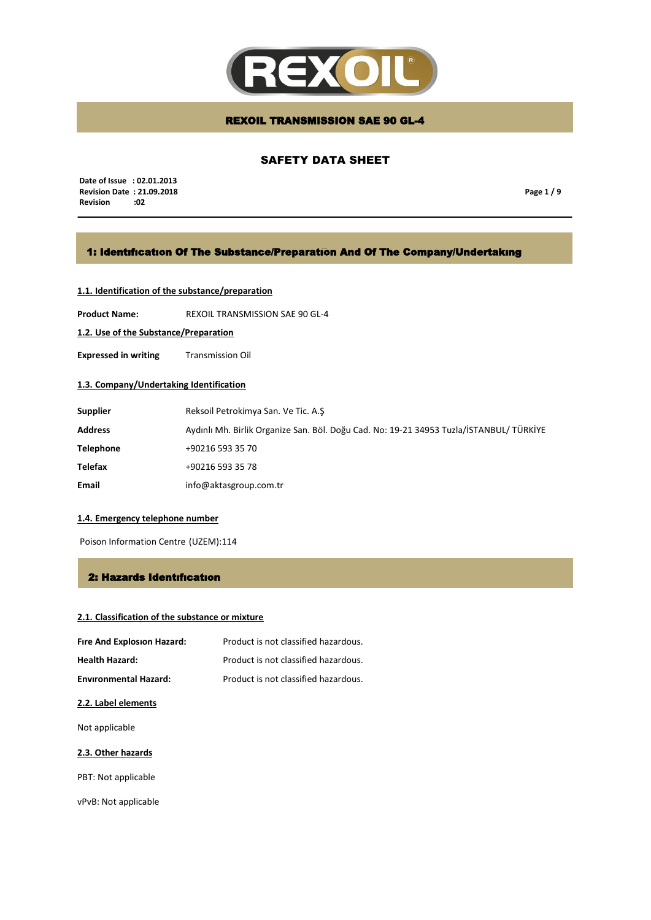

# SAFETY DATA SHEET

 **Date of Issue : 02.01.2013 Revision Date : 21.09.2018 Revision** 

**Page 1 / 9**

# 1: Identıfıcatıon Of The Substance/Preparatıon And Of The Company/Undertakıng

# **1.1. Identification of the substance/preparation**

**Product Name:** REXOIL TRANSMISSION SAE 90 GL-4

**1.2. Use of the Substance/Preparation**

**Expressed in writing** Transmission Oil

# **1.3. Company/Undertaking Identification**

| <b>Supplier</b>  | Reksoil Petrokimya San. Ve Tic. A.S                                                     |
|------------------|-----------------------------------------------------------------------------------------|
| <b>Address</b>   | Aydınlı Mh. Birlik Organize San. Böl. Doğu Cad. No: 19-21 34953 Tuzla/İSTANBUL/ TÜRKİYE |
| <b>Telephone</b> | +90216 593 35 70                                                                        |
| <b>Telefax</b>   | +90216 593 35 78                                                                        |
| Email            | info@aktasgroup.com.tr                                                                  |

#### **1.4. Emergency telephone number**

Poison Information Centre (UZEM):114

## 2: Hazards Identıfıcatıon

# **2.1. Classification of the substance or mixture**

| Fire And Explosion Hazard:   | Product is not classified hazardous. |
|------------------------------|--------------------------------------|
| <b>Health Hazard:</b>        | Product is not classified hazardous. |
| <b>Environmental Hazard:</b> | Product is not classified hazardous. |

## **2.2. Label elements**

Not applicable

## **2.3. Other hazards**

PBT: Not applicable

vPvB: Not applicable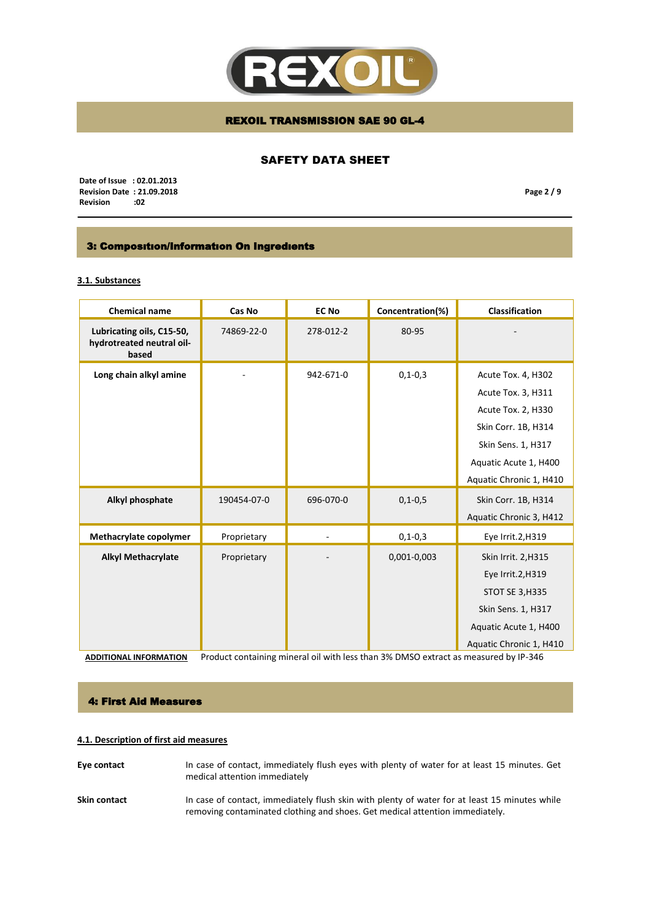

# SAFETY DATA SHEET

 **Date of Issue : 02.01.2013 Revision Date : 21.09.2018**  $Review$ 

**Page 2 / 9**

# 3: Composıtıon/Informatıon On Ingredıents

# **3.1. Substances**

| <b>Chemical name</b>                                            | Cas No                                                                              | <b>EC No</b> | Concentration(%) | <b>Classification</b>   |
|-----------------------------------------------------------------|-------------------------------------------------------------------------------------|--------------|------------------|-------------------------|
| Lubricating oils, C15-50,<br>hydrotreated neutral oil-<br>based | 74869-22-0                                                                          | 278-012-2    | 80-95            |                         |
| Long chain alkyl amine                                          |                                                                                     | 942-671-0    | $0, 1 - 0, 3$    | Acute Tox. 4, H302      |
|                                                                 |                                                                                     |              |                  | Acute Tox. 3, H311      |
|                                                                 |                                                                                     |              |                  | Acute Tox. 2, H330      |
|                                                                 |                                                                                     |              |                  | Skin Corr. 1B, H314     |
|                                                                 |                                                                                     |              |                  | Skin Sens. 1, H317      |
|                                                                 |                                                                                     |              |                  | Aquatic Acute 1, H400   |
|                                                                 |                                                                                     |              |                  | Aquatic Chronic 1, H410 |
| Alkyl phosphate                                                 | 190454-07-0                                                                         | 696-070-0    | $0, 1 - 0, 5$    | Skin Corr. 1B, H314     |
|                                                                 |                                                                                     |              |                  | Aquatic Chronic 3, H412 |
| Methacrylate copolymer                                          | Proprietary                                                                         |              | $0, 1 - 0, 3$    | Eye Irrit.2, H319       |
| <b>Alkyl Methacrylate</b>                                       | Proprietary                                                                         |              | 0,001-0,003      | Skin Irrit. 2, H315     |
|                                                                 |                                                                                     |              |                  | Eye Irrit.2, H319       |
|                                                                 |                                                                                     |              |                  | STOT SE 3, H335         |
|                                                                 |                                                                                     |              |                  | Skin Sens. 1, H317      |
|                                                                 |                                                                                     |              |                  | Aquatic Acute 1, H400   |
|                                                                 |                                                                                     |              |                  | Aquatic Chronic 1, H410 |
| <b>ADDITIONAL INFORMATION</b>                                   | Product containing mineral oil with less than 3% DMSO extract as measured by IP-346 |              |                  |                         |

#### 4: First Aid Measures

# **4.1. Description of first aid measures**

- **Eye contact** In case of contact, immediately flush eyes with plenty of water for at least 15 minutes. Get medical attention immediately
- Skin contact **In case of contact**, immediately flush skin with plenty of water for at least 15 minutes while removing contaminated clothing and shoes. Get medical attention immediately.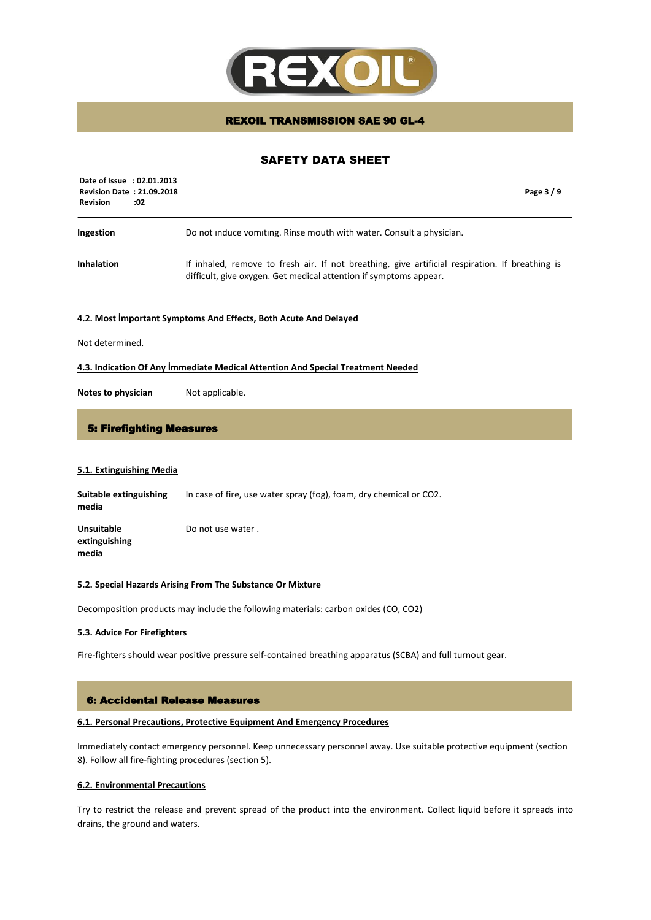

# SAFETY DATA SHEET

| Date of Issue : 02.01.2013<br><b>Revision Date: 21.09.2018</b><br><b>Revision</b><br>:02 | Page 3/9                                                                                                                                                             |
|------------------------------------------------------------------------------------------|----------------------------------------------------------------------------------------------------------------------------------------------------------------------|
| Ingestion                                                                                | Do not induce vomiting. Rinse mouth with water. Consult a physician.                                                                                                 |
| <b>Inhalation</b>                                                                        | If inhaled, remove to fresh air. If not breathing, give artificial respiration. If breathing is<br>difficult, give oxygen. Get medical attention if symptoms appear. |

#### **4.2. Most İmportant Symptoms And Effects, Both Acute And Delayed**

Not determined.

#### **4.3. Indication Of Any İmmediate Medical Attention And Special Treatment Needed**

**Notes to physician** Not applicable.

## 5: Firefighting Measures

#### **5.1. Extinguishing Media**

**Suitable extinguishing** In case of fire, use water spray (fog), foam, dry chemical or CO2. **media Unsuitable extinguishing media** Do not use water .

#### **5.2. Special Hazards Arising From The Substance Or Mixture**

Decomposition products may include the following materials: carbon oxides (CO, CO2)

## **5.3. Advice For Firefighters**

Fire-fighters should wear positive pressure self-contained breathing apparatus (SCBA) and full turnout gear.

#### 6: Accidental Release Measures

#### **6.1. Personal Precautions, Protective Equipment And Emergency Procedures**

Immediately contact emergency personnel. Keep unnecessary personnel away. Use suitable protective equipment (section 8). Follow all fire-fighting procedures (section 5).

## **6.2. Environmental Precautions**

Try to restrict the release and prevent spread of the product into the environment. Collect liquid before it spreads into drains, the ground and waters.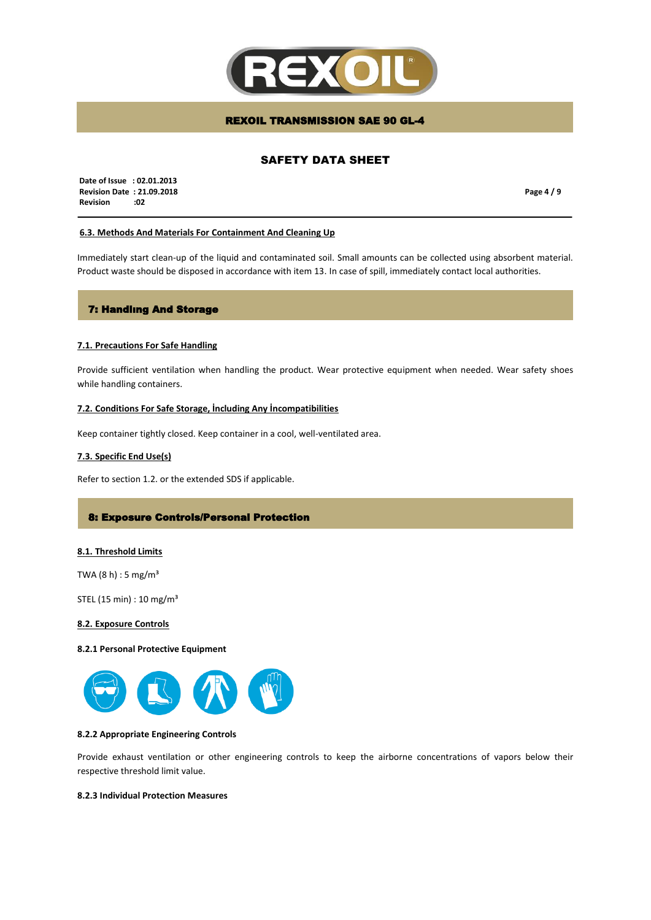

# SAFETY DATA SHEET

 **Date of Issue : 02.01.2013 Revision Date : 21.09.2018 Revision :02**

**Page 4 / 9**

#### **6.3. Methods And Materials For Containment And Cleaning Up**

Immediately start clean-up of the liquid and contaminated soil. Small amounts can be collected using absorbent material. Product waste should be disposed in accordance with item 13. In case of spill, immediately contact local authorities.

# 7: Handlıng And Storage

#### **7.1. Precautions For Safe Handling**

Provide sufficient ventilation when handling the product. Wear protective equipment when needed. Wear safety shoes while handling containers.

## **7.2. Conditions For Safe Storage, İncluding Any İncompatibilities**

Keep container tightly closed. Keep container in a cool, well-ventilated area.

#### **7.3. Specific End Use(s)**

Refer to section 1.2. or the extended SDS if applicable.

## 8: Exposure Controls/Personal Protection

#### **8.1. Threshold Limits**

TWA  $(8 h) : 5 mg/m<sup>3</sup>$ 

STEL (15 min) : 10 mg/m³

#### **8.2. Exposure Controls**

#### **8.2.1 Personal Protective Equipment**



## **8.2.2 Appropriate Engineering Controls**

Provide exhaust ventilation or other engineering controls to keep the airborne concentrations of vapors below their respective threshold limit value.

## **8.2.3 Individual Protection Measures**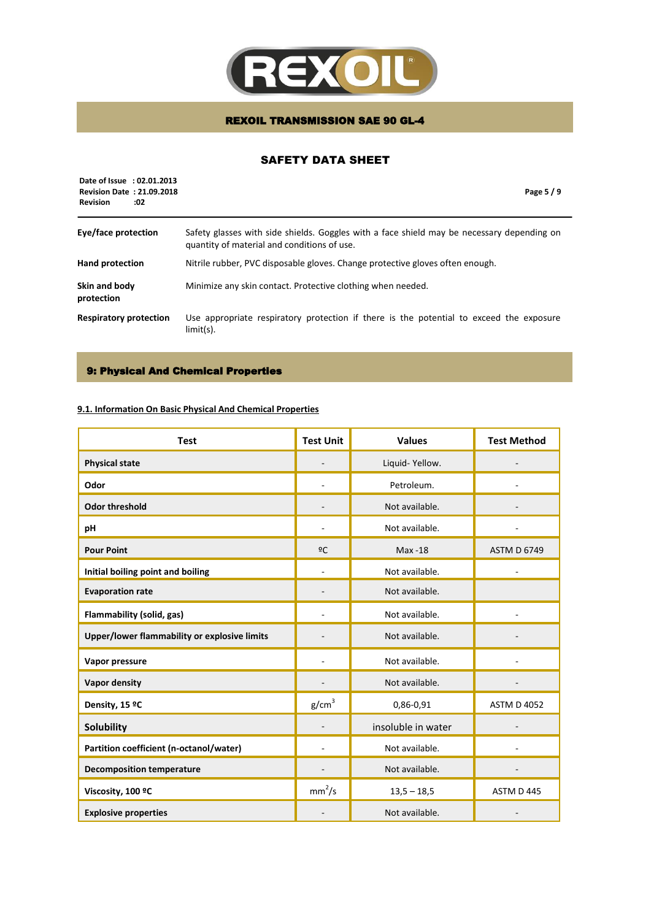

# SAFETY DATA SHEET

| Date of Issue : 02.01.2013<br><b>Revision Date: 21.09.2018</b><br><b>Revision</b><br>:02 | Page 5/9                                                                                                                                  |
|------------------------------------------------------------------------------------------|-------------------------------------------------------------------------------------------------------------------------------------------|
| Eye/face protection                                                                      | Safety glasses with side shields. Goggles with a face shield may be necessary depending on<br>quantity of material and conditions of use. |
| <b>Hand protection</b>                                                                   | Nitrile rubber, PVC disposable gloves. Change protective gloves often enough.                                                             |
| Skin and body<br>protection                                                              | Minimize any skin contact. Protective clothing when needed.                                                                               |
| <b>Respiratory protection</b>                                                            | Use appropriate respiratory protection if there is the potential to exceed the exposure<br>$limit(s)$ .                                   |

# 9: Physical And Chemical Properties

# **9.1. Information On Basic Physical And Chemical Properties**

| <b>Test</b>                                  | <b>Test Unit</b>   | <b>Values</b>      | <b>Test Method</b> |
|----------------------------------------------|--------------------|--------------------|--------------------|
| <b>Physical state</b>                        |                    | Liquid-Yellow.     |                    |
| Odor                                         |                    | Petroleum.         |                    |
| <b>Odor threshold</b>                        |                    | Not available.     |                    |
| pH                                           |                    | Not available.     |                    |
| <b>Pour Point</b>                            | 2C                 | Max -18            | <b>ASTM D 6749</b> |
| Initial boiling point and boiling            |                    | Not available.     |                    |
| <b>Evaporation rate</b>                      |                    | Not available.     |                    |
| Flammability (solid, gas)                    |                    | Not available.     |                    |
| Upper/lower flammability or explosive limits |                    | Not available.     |                    |
| Vapor pressure                               |                    | Not available.     |                    |
| <b>Vapor density</b>                         |                    | Not available.     |                    |
| Density, 15 ºC                               | g/cm <sup>3</sup>  | 0,86-0,91          | <b>ASTM D 4052</b> |
| <b>Solubility</b>                            |                    | insoluble in water |                    |
| Partition coefficient (n-octanol/water)      |                    | Not available.     |                    |
| <b>Decomposition temperature</b>             |                    | Not available.     |                    |
| Viscosity, 100 °C                            | mm <sup>2</sup> /s | $13,5 - 18,5$      | ASTM D 445         |
| <b>Explosive properties</b>                  |                    | Not available.     |                    |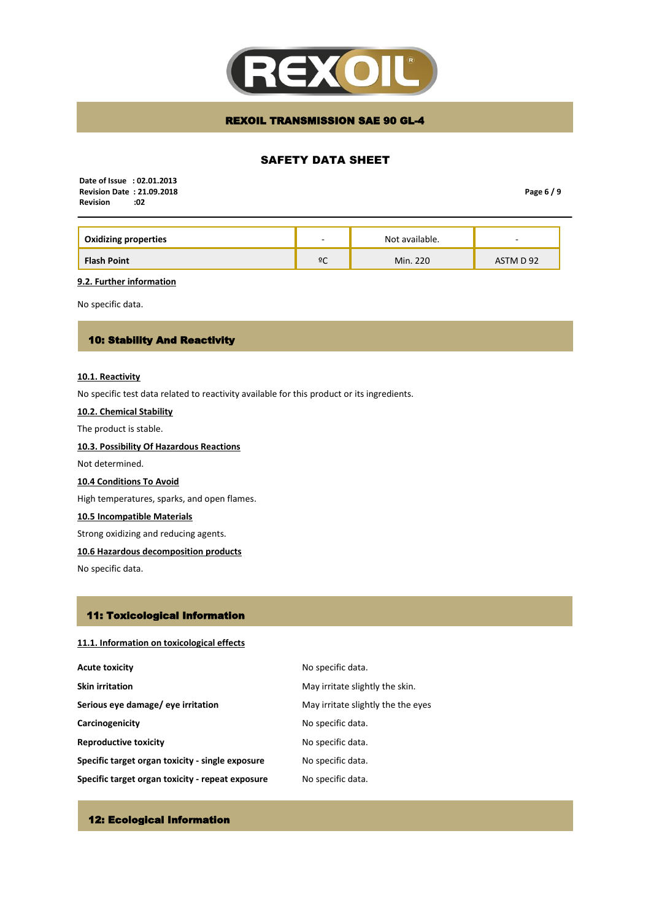

# SAFETY DATA SHEET

 **Date of Issue : 02.01.2013 Revision Date : 21.09.2018 Revision** 

**Page 6 / 9**

| <b>Oxidizing properties</b> | $\overline{\phantom{a}}$ | Not available. | $\overline{\phantom{a}}$ |
|-----------------------------|--------------------------|----------------|--------------------------|
| <b>Flash Point</b>          | ºC                       | Min. 220       | ASTM D 92                |

**9.2. Further information**

No specific data.

# 10: Stability And Reactivity

#### **10.1. Reactivity**

No specific test data related to reactivity available for this product or its ingredients.

# **10.2. Chemical Stability**

The product is stable.

# **10.3. Possibility Of Hazardous Reactions**

Not determined.

## **10.4 Conditions To Avoid**

High temperatures, sparks, and open flames.

# **10.5 Incompatible Materials**

Strong oxidizing and reducing agents.

## **10.6 Hazardous decomposition products**

No specific data.

# 11: Toxicological Information

## **11.1. Information on toxicological effects**

| <b>Acute toxicity</b>                            | No specific data.                  |
|--------------------------------------------------|------------------------------------|
| <b>Skin irritation</b>                           | May irritate slightly the skin.    |
| Serious eye damage/ eye irritation               | May irritate slightly the the eyes |
| Carcinogenicity                                  | No specific data.                  |
| <b>Reproductive toxicity</b>                     | No specific data.                  |
| Specific target organ toxicity - single exposure | No specific data.                  |
| Specific target organ toxicity - repeat exposure | No specific data.                  |

# 12: Ecological Information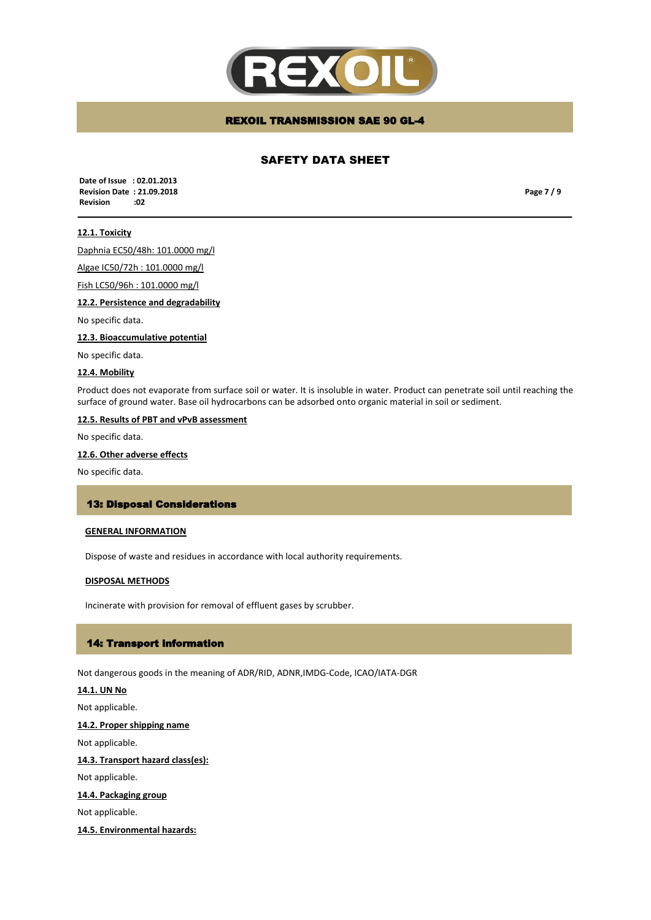

# SAFETY DATA SHEET

 **Date of Issue : 02.01.2013 Revision Date : 21.09.2018 Revision :02**

**Page 7 / 9**

## **12.1. Toxicity**

Daphnia EC50/48h: 101.0000 mg/l

Algae IC50/72h : 101.0000 mg/l

Fish LC50/96h : 101.0000 mg/l

**12.2. Persistence and degradability** 

No specific data.

**12.3. Bioaccumulative potential**

No specific data.

#### **12.4. Mobility**

Product does not evaporate from surface soil or water. It is insoluble in water. Product can penetrate soil until reaching the surface of ground water. Base oil hydrocarbons can be adsorbed onto organic material in soil or sediment.

#### **12.5. Results of PBT and vPvB assessment**

No specific data.

## **12.6. Other adverse effects**

No specific data.

#### 13: Disposal Considerations

#### **GENERAL INFORMATION**

Dispose of waste and residues in accordance with local authority requirements.

#### **DISPOSAL METHODS**

Incinerate with provision for removal of effluent gases by scrubber.

#### 14: Transport information

Not dangerous goods in the meaning of ADR/RID, ADNR,IMDG-Code, ICAO/IATA-DGR

# **14.1. UN No**

Not applicable.

**14.2. Proper shipping name**

Not applicable.

## **14.3. Transport hazard class(es):**

Not applicable.

# **14.4. Packaging group**

Not applicable.

#### **14.5. Environmental hazards:**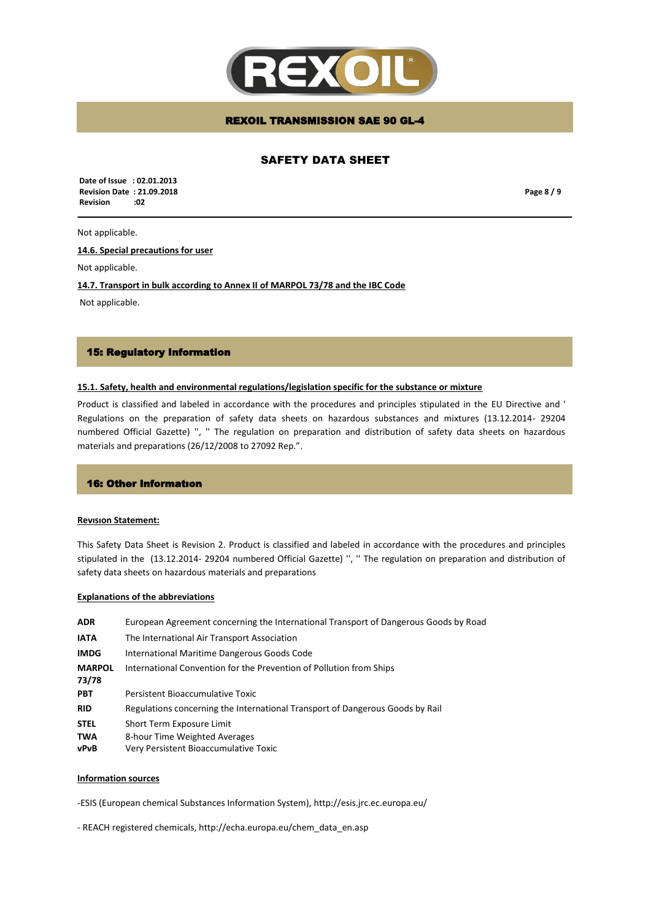

# SAFETY DATA SHEET

 **Date of Issue : 02.01.2013 Revision Date : 21.09.2018 Revision :02**

**Page 8 / 9**

#### Not applicable.

**14.6. Special precautions for user**

Not applicable.

**14.7. Transport in bulk according to Annex II of MARPOL 73/78 and the IBC Code**

Not applicable.

## 15: Regulatory Information

#### **15.1. Safety, health and environmental regulations/legislation specific for the substance or mixture**

Product is classified and labeled in accordance with the procedures and principles stipulated in the EU Directive and ' Regulations on the preparation of safety data sheets on hazardous substances and mixtures (13.12.2014- 29204 numbered Official Gazette) '', '' The regulation on preparation and distribution of safety data sheets on hazardous materials and preparations (26/12/2008 to 27092 Rep.".

## 16: Other Informatıon

#### **Revısıon Statement:**

This Safety Data Sheet is Revision 2. Product is classified and labeled in accordance with the procedures and principles stipulated in the (13.12.2014- 29204 numbered Official Gazette) '', '' The regulation on preparation and distribution of safety data sheets on hazardous materials and preparations

#### **Explanations of the abbreviations**

| <b>ADR</b>             | European Agreement concerning the International Transport of Dangerous Goods by Road |
|------------------------|--------------------------------------------------------------------------------------|
| <b>IATA</b>            | The International Air Transport Association                                          |
| <b>IMDG</b>            | International Maritime Dangerous Goods Code                                          |
| <b>MARPOL</b><br>73/78 | International Convention for the Prevention of Pollution from Ships                  |
| <b>PBT</b>             | Persistent Bioaccumulative Toxic                                                     |
| <b>RID</b>             | Regulations concerning the International Transport of Dangerous Goods by Rail        |
| <b>STEL</b>            | Short Term Exposure Limit                                                            |
| <b>TWA</b><br>vPvB     | 8-hour Time Weighted Averages<br>Very Persistent Bioaccumulative Toxic               |

#### **Information sources**

-ESIS (European chemical Substances Information System), http://esis.jrc.ec.europa.eu/

- REACH registered chemicals, http://echa.europa.eu/chem\_data\_en.asp